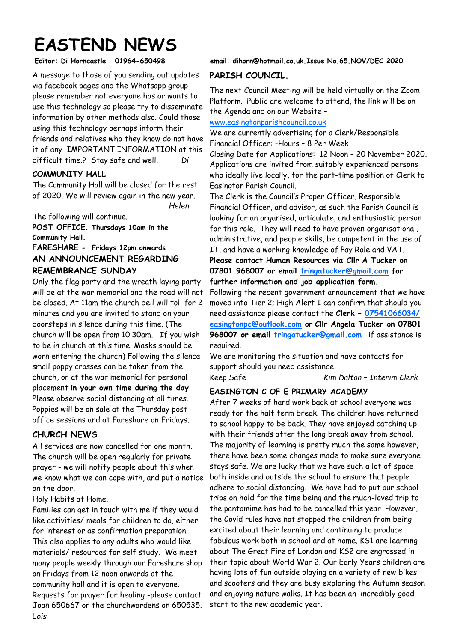# **EASTEND NEWS**

A message to those of you sending out updates via facebook pages and the Whatsapp group please remember not everyone has or wants to use this technology so please try to disseminate information by other methods also. Could those using this technology perhaps inform their friends and relatives who they know do not have it of any IMPORTANT INFORMATION at this difficult time.? Stay safe and well. *Di* 

#### **COMMUNITY HALL**

The Community Hall will be closed for the rest of 2020. We will review again in the new year. *Helen*

The following will continue.

**POST OFFICE. Thursdays 10am in the Community Hall.** 

### **FARESHARE - Fridays 12pm.onwards AN ANNOUNCEMENT REGARDING REMEMBRANCE SUNDAY**

Only the flag party and the wreath laying party will be at the war memorial and the road will not be closed. At 11am the church bell will toll for 2 minutes and you are invited to stand on your doorsteps in silence during this time. (The church will be open from 10.30am. If you wish to be in church at this time. Masks should be worn entering the church) Following the silence small poppy crosses can be taken from the church, or at the war memorial for personal placement **in your own time during the day**. Please observe social distancing at all times. Poppies will be on sale at the Thursday post office sessions and at Fareshare on Fridays.

#### **CHURCH NEWS**

All services are now cancelled for one month. The church will be open regularly for private prayer - we will notify people about this when we know what we can cope with, and put a notice on the door.

Holy Habits at Home.

Families can get in touch with me if they would like activities/ meals for children to do, either for interest or as confirmation preparation. This also applies to any adults who would like materials/ resources for self study.We meet many people weekly through our Fareshare shop on Fridays from 12 noon onwards at the community hall and it is open to everyone. Requests for prayer for healing -please contact Joan 650667 or the churchwardens on 650535. L*ois*

## **Editor: Di Horncastle 01964-650498 email: dihorn@hotmail.co.uk.Issue No.65.NOV/DEC 2020**

#### **PARISH COUNCIL.**

The next Council Meeting will be held virtually on the Zoom Platform. Public are welcome to attend, the link will be on the Agenda and on our Website –

[www.easingtonparishcouncil.co.uk](http://www.easingtonparishcouncil.co.uk) 

We are currently advertising for a Clerk/Responsible Financial Officer: -Hours – 8 Per Week

Closing Date for Applications: 12 Noon – 20 November 2020. Applications are invited from suitably experienced persons who ideally live locally, for the part-time position of Clerk to Easington Parish Council.

The Clerk is the Council's Proper Officer, Responsible Financial Officer, and advisor, as such the Parish Council is looking for an organised, articulate, and enthusiastic person for this role. They will need to have proven organisational, administrative, and people skills, be competent in the use of IT, and have a working knowledge of Pay Role and VAT. **Please contact Human Resources via Cllr A Tucker on 07801 968007 or email [tringatucker@gmail.com](mailto:tringatucker@gmail.com) for** 

**further information and job application form.** 

Following the recent government announcement that we have moved into Tier 2; High Alert I can confirm that should you need assistance please contact the **Clerk – [07541066034/](mailto:07541066034/easingtonpc@outlook.com) [easingtonpc@outlook.com](mailto:07541066034/easingtonpc@outlook.com) or Cllr Angela Tucker on 07801 968007 or email [tringatucker@gmail.com](mailto:tringatucker@gmail.com)** if assistance is required.

We are monitoring the situation and have contacts for support should you need assistance.

Keep Safe. *Kim Dalton – Interim Clerk*

#### **EASINGTON C OF E PRIMARY ACADEMY**

After 7 weeks of hard work back at school everyone was ready for the half term break. The children have returned to school happy to be back. They have enjoyed catching up with their friends after the long break away from school. The majority of learning is pretty much the same however, there have been some changes made to make sure everyone stays safe. We are lucky that we have such a lot of space both inside and outside the school to ensure that people adhere to social distancing. We have had to put our school trips on hold for the time being and the much-loved trip to the pantomime has had to be cancelled this year. However, the Covid rules have not stopped the children from being excited about their learning and continuing to produce fabulous work both in school and at home. KS1 are learning about The Great Fire of London and KS2 are engrossed in their topic about World War 2. Our Early Years children are having lots of fun outside playing on a variety of new bikes and scooters and they are busy exploring the Autumn season and enjoying nature walks. It has been an incredibly good start to the new academic year.